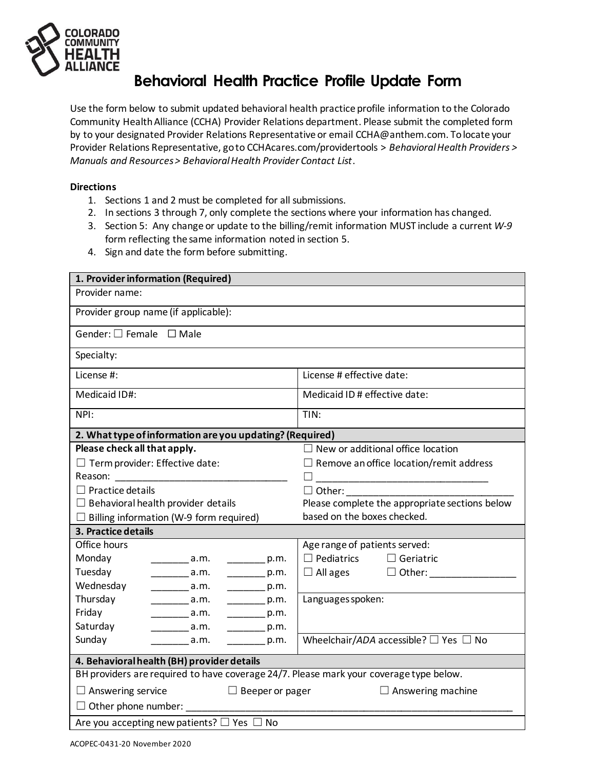

## **Behavioral Health Practice Profile Update Form**

Use the form below to submit updated behavioral health practice profile information to the Colorado Community HealthAlliance (CCHA) Provider Relations department. Please submit the completed form by to your designated Provider Relations Representative or email CCHA@anthem.com. To locate your Provider Relations Representative, go to CCHAcares.com/providertools > *Behavioral Health Providers > Manuals and Resources > Behavioral Health Provider Contact List*.

## **Directions**

- 1. Sections 1 and 2 must be completed for all submissions.
- 2. In sections 3 through 7, only complete the sections where your information has changed.
- 3. Section 5: Any change or update to the billing/remit information MUST include a current *W-9* form reflecting the same information noted in section 5.
- 4. Sign and date the form before submitting.

| 1. Provider information (Required)                                                                       |                                                 |
|----------------------------------------------------------------------------------------------------------|-------------------------------------------------|
| Provider name:                                                                                           |                                                 |
| Provider group name (if applicable):                                                                     |                                                 |
| Gender: $\square$ Female $\square$ Male                                                                  |                                                 |
| Specialty:                                                                                               |                                                 |
| License #:                                                                                               | License # effective date:                       |
| Medicaid ID#:                                                                                            | Medicaid ID # effective date:                   |
| NPI:                                                                                                     | TIN:                                            |
| 2. What type of information are you updating? (Required)                                                 |                                                 |
| Please check all that apply.                                                                             | $\Box$ New or additional office location        |
| $\Box$ Term provider: Effective date:                                                                    | $\Box$ Remove an office location/remit address  |
|                                                                                                          |                                                 |
| $\Box$ Practice details                                                                                  | $\Box$ Other:                                   |
| $\Box$ Behavioral health provider details                                                                | Please complete the appropriate sections below  |
| $\Box$ Billing information (W-9 form required)                                                           | based on the boxes checked.                     |
| 3. Practice details                                                                                      |                                                 |
| Office hours                                                                                             | Age range of patients served:                   |
| Monday<br>$\frac{1}{2}$ a.m.<br>$\frac{p}{2}$ p.m.                                                       | $\Box$ Pediatrics $\Box$ Geriatric              |
| Tuesday<br>$\frac{1}{2}$ p.m.<br>$\frac{1}{\sqrt{2}}$ a.m.                                               | $\Box$ All ages $\Box$ Other:                   |
| Wednesday<br>$\rule{1em}{0.05em}$ p.m.                                                                   |                                                 |
| Thursday<br>$\rule{1em}{0.05em}$ p.m.                                                                    | Languages spoken:                               |
| Friday<br>___________ a.m.<br>$\rule{1em}{0.05em}$ p.m.                                                  |                                                 |
| Saturday<br>$\begin{array}{c} \overline{\phantom{a}} \phantom{a} a.m. \end{array}$<br>$\frac{p}{2}$ p.m. |                                                 |
| Sunday<br>$\frac{1}{2}$ a.m.<br>$\rule{1em}{0.6em}$ p.m.                                                 | Wheelchair/ADA accessible? $\Box$ Yes $\Box$ No |
| 4. Behavioral health (BH) provider details                                                               |                                                 |
| BH providers are required to have coverage 24/7. Please mark your coverage type below.                   |                                                 |
| $\Box$ Answering service<br>$\Box$ Beeper or pager<br>$\Box$ Answering machine                           |                                                 |
| $\Box$ Other phone number:                                                                               |                                                 |
| Are you accepting new patients? $\square$ Yes $\square$ No                                               |                                                 |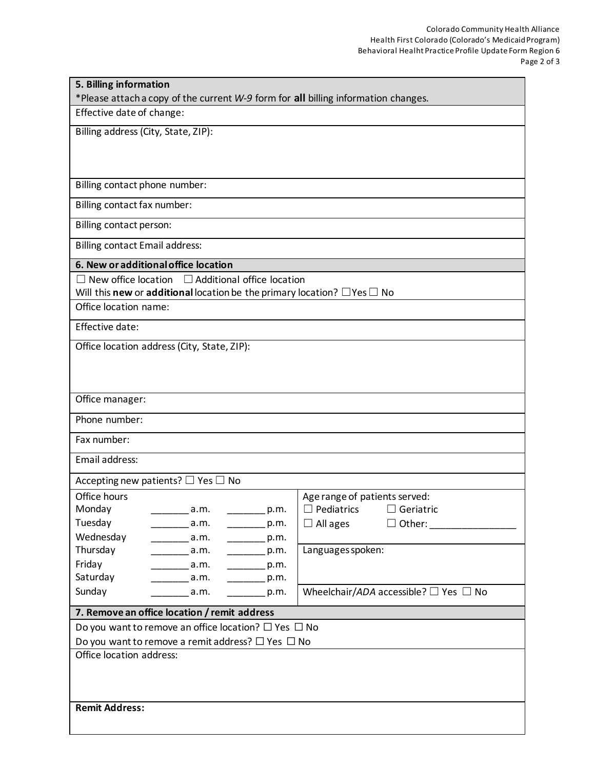| 5. Billing information                                                                                      |                                                       |  |
|-------------------------------------------------------------------------------------------------------------|-------------------------------------------------------|--|
| *Please attach a copy of the current W-9 form for all billing information changes.                          |                                                       |  |
| Effective date of change:                                                                                   |                                                       |  |
| Billing address (City, State, ZIP):                                                                         |                                                       |  |
|                                                                                                             |                                                       |  |
| Billing contact phone number:                                                                               |                                                       |  |
|                                                                                                             |                                                       |  |
| Billing contact fax number:                                                                                 |                                                       |  |
| Billing contact person:                                                                                     |                                                       |  |
| <b>Billing contact Email address:</b>                                                                       |                                                       |  |
| 6. New or additional office location                                                                        |                                                       |  |
| $\Box$ Additional office location<br>$\Box$ New office location                                             |                                                       |  |
| Will this new or additional location be the primary location? $\Box$ Yes $\Box$ No<br>Office location name: |                                                       |  |
|                                                                                                             |                                                       |  |
| Effective date:                                                                                             |                                                       |  |
| Office location address (City, State, ZIP):                                                                 |                                                       |  |
|                                                                                                             |                                                       |  |
|                                                                                                             |                                                       |  |
| Office manager:                                                                                             |                                                       |  |
| Phone number:                                                                                               |                                                       |  |
| Fax number:                                                                                                 |                                                       |  |
| Email address:                                                                                              |                                                       |  |
| Accepting new patients? $\Box$ Yes $\Box$ No                                                                |                                                       |  |
| Office hours                                                                                                | Age range of patients served:                         |  |
| Monday<br>a.m.<br>p.m.                                                                                      | $\Box$ Pediatrics<br>$\Box$ Geriatric                 |  |
| Tuesday<br>a.m.<br>p.m.                                                                                     | $\Box$ All ages<br>$\Box$ Other:                      |  |
| Wednesday<br>$\rule{1em}{0.6em}$ p.m.<br>a.m.                                                               |                                                       |  |
| Thursday<br>$\overline{a.m.}$<br>p.m.                                                                       | Languages spoken:                                     |  |
| Friday<br>$\rule{1em}{0.05em}$ p.m.<br>a.m.                                                                 |                                                       |  |
| Saturday<br>a.m.<br>$\rule{1em}{0.6em}$ p.m.                                                                |                                                       |  |
| Sunday<br>a.m.<br>p.m.                                                                                      | Wheelchair/ADA accessible? $\square$ Yes $\square$ No |  |
| 7. Remove an office location / remit address                                                                |                                                       |  |
| Do you want to remove an office location? $\Box$ Yes $\Box$ No                                              |                                                       |  |
| Do you want to remove a remit address? $\Box$ Yes $\Box$ No                                                 |                                                       |  |
| Office location address:                                                                                    |                                                       |  |
|                                                                                                             |                                                       |  |
|                                                                                                             |                                                       |  |
| <b>Remit Address:</b>                                                                                       |                                                       |  |
|                                                                                                             |                                                       |  |
|                                                                                                             |                                                       |  |